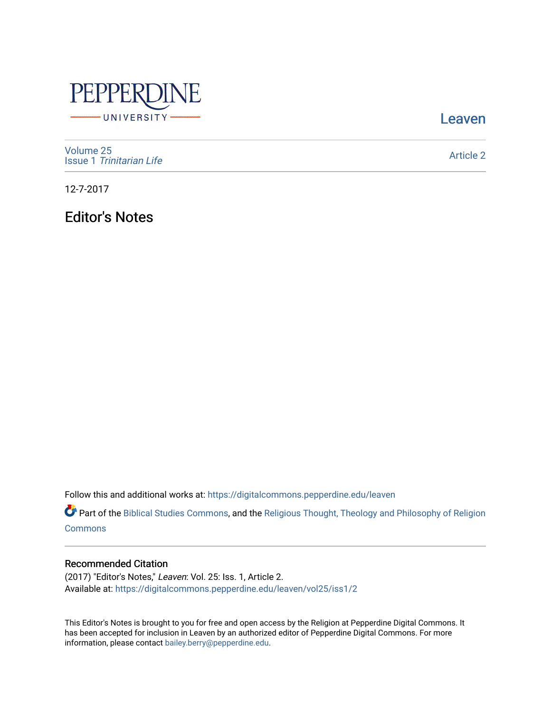

[Leaven](https://digitalcommons.pepperdine.edu/leaven) 

[Volume 25](https://digitalcommons.pepperdine.edu/leaven/vol25) Issue 1 [Trinitarian Life](https://digitalcommons.pepperdine.edu/leaven/vol25/iss1) 

[Article 2](https://digitalcommons.pepperdine.edu/leaven/vol25/iss1/2) 

12-7-2017

Editor's Notes

Follow this and additional works at: [https://digitalcommons.pepperdine.edu/leaven](https://digitalcommons.pepperdine.edu/leaven?utm_source=digitalcommons.pepperdine.edu%2Fleaven%2Fvol25%2Fiss1%2F2&utm_medium=PDF&utm_campaign=PDFCoverPages)

Part of the [Biblical Studies Commons,](http://network.bepress.com/hgg/discipline/539?utm_source=digitalcommons.pepperdine.edu%2Fleaven%2Fvol25%2Fiss1%2F2&utm_medium=PDF&utm_campaign=PDFCoverPages) and the [Religious Thought, Theology and Philosophy of Religion](http://network.bepress.com/hgg/discipline/544?utm_source=digitalcommons.pepperdine.edu%2Fleaven%2Fvol25%2Fiss1%2F2&utm_medium=PDF&utm_campaign=PDFCoverPages)  **[Commons](http://network.bepress.com/hgg/discipline/544?utm_source=digitalcommons.pepperdine.edu%2Fleaven%2Fvol25%2Fiss1%2F2&utm_medium=PDF&utm_campaign=PDFCoverPages)** 

## Recommended Citation

(2017) "Editor's Notes," Leaven: Vol. 25: Iss. 1, Article 2. Available at: [https://digitalcommons.pepperdine.edu/leaven/vol25/iss1/2](https://digitalcommons.pepperdine.edu/leaven/vol25/iss1/2?utm_source=digitalcommons.pepperdine.edu%2Fleaven%2Fvol25%2Fiss1%2F2&utm_medium=PDF&utm_campaign=PDFCoverPages)

This Editor's Notes is brought to you for free and open access by the Religion at Pepperdine Digital Commons. It has been accepted for inclusion in Leaven by an authorized editor of Pepperdine Digital Commons. For more information, please contact [bailey.berry@pepperdine.edu.](mailto:bailey.berry@pepperdine.edu)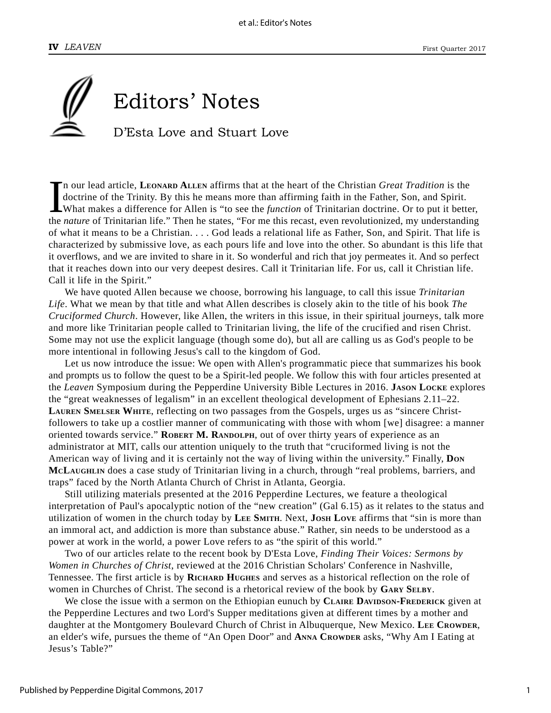

In our lead article, LEONARD ALLEN affirms that at the heart of the Christian *Great Tradition* is the doctrine of the Trinity. By this he means more than affirming faith in the Father, Son, and Spirit.<br>What makes a differ n our lead article, **LEONARD ALLEN** affirms that at the heart of the Christian *Great Tradition* is the doctrine of the Trinity. By this he means more than affirming faith in the Father, Son, and Spirit. What makes a difference for Allen is "to see the *function* of Trinitarian doctrine. Or to put it better, of what it means to be a Christian. . . . God leads a relational life as Father, Son, and Spirit. That life is characterized by submissive love, as each pours life and love into the other. So abundant is this life that it overflows, and we are invited to share in it. So wonderful and rich that joy permeates it. And so perfect that it reaches down into our very deepest desires. Call it Trinitarian life. For us, call it Christian life. Call it life in the Spirit."

We have quoted Allen because we choose, borrowing his language, to call this issue *Trinitarian Life*. What we mean by that title and what Allen describes is closely akin to the title of his book *The Cruciformed Church*. However, like Allen, the writers in this issue, in their spiritual journeys, talk more and more like Trinitarian people called to Trinitarian living, the life of the crucified and risen Christ. Some may not use the explicit language (though some do), but all are calling us as God's people to be more intentional in following Jesus's call to the kingdom of God.

Let us now introduce the issue: We open with Allen's programmatic piece that summarizes his book and prompts us to follow the quest to be a Spirit-led people. We follow this with four articles presented at the *Leaven* Symposium during the Pepperdine University Bible Lectures in 2016. **JASON LOCKE** explores the "great weaknesses of legalism" in an excellent theological development of Ephesians 2.11–22. **LAUREN SMELSER WHITE**, reflecting on two passages from the Gospels, urges us as "sincere Christfollowers to take up a costlier manner of communicating with those with whom [we] disagree: a manner oriented towards service." **ROBERT M. RANDOLPH**, out of over thirty years of experience as an administrator at MIT, calls our attention uniquely to the truth that "cruciformed living is not the American way of living and it is certainly not the way of living within the university." Finally, **DON MCLAUGHLIN** does a case study of Trinitarian living in a church, through "real problems, barriers, and traps" faced by the North Atlanta Church of Christ in Atlanta, Georgia.

Still utilizing materials presented at the 2016 Pepperdine Lectures, we feature a theological interpretation of Paul's apocalyptic notion of the "new creation" (Gal 6.15) as it relates to the status and utilization of women in the church today by **LEE SMITH**. Next, **JOSH LOVE** affirms that "sin is more than an immoral act, and addiction is more than substance abuse." Rather, sin needs to be understood as a power at work in the world, a power Love refers to as "the spirit of this world."

Two of our articles relate to the recent book by D'Esta Love, *Finding Their Voices: Sermons by Women in Churches of Christ*, reviewed at the 2016 Christian Scholars' Conference in Nashville, Tennessee. The first article is by **RICHARD HUGHES** and serves as a historical reflection on the role of women in Churches of Christ. The second is a rhetorical review of the book by **GARY SELBY**.

We close the issue with a sermon on the Ethiopian eunuch by **CLAIRE DAVIDSON-FREDERICK** given at the Pepperdine Lectures and two Lord's Supper meditations given at different times by a mother and daughter at the Montgomery Boulevard Church of Christ in Albuquerque, New Mexico. LEE CROWDER, an elder's wife, pursues the theme of "An Open Door" and **ANNA CROWDER** asks, "Why Am I Eating at Jesus's Table?"